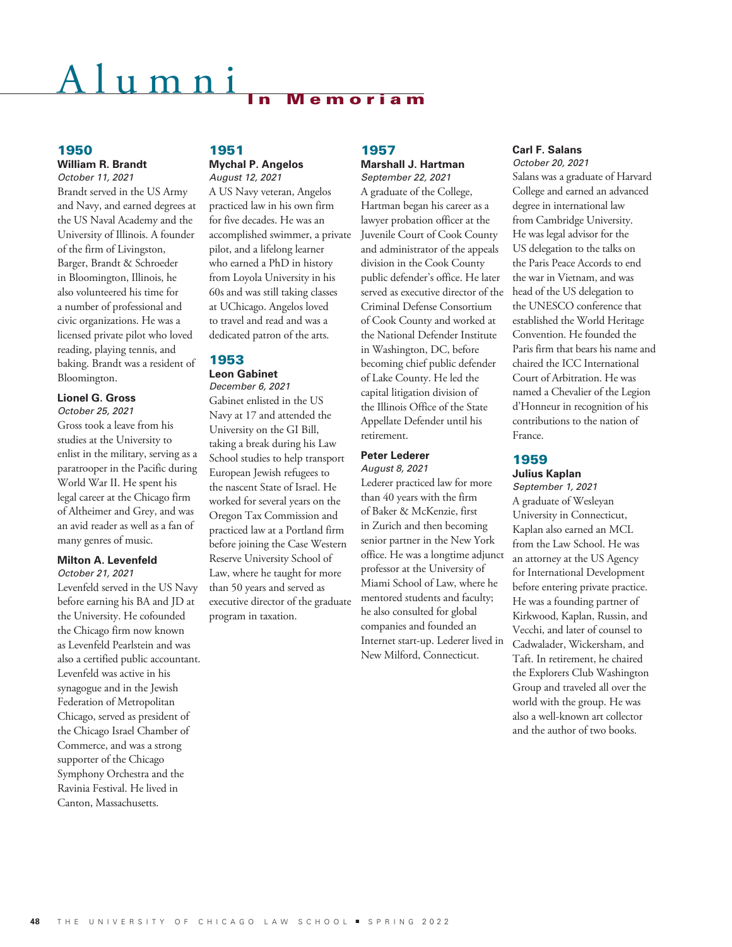# $u$  m  $n$  i

#### 1950

#### **William R. Brandt** *October 11, 2021*

Brandt served in the US Army and Navy, and earned degrees at the US Naval Academy and the University of Illinois. A founder of the firm of Livingston, Barger, Brandt & Schroeder in Bloomington, Illinois, he also volunteered his time for a number of professional and civic organizations. He was a licensed private pilot who loved reading, playing tennis, and baking. Brandt was a resident of Bloomington.

#### **Lionel G. Gross** *October 25, 2021*

Gross took a leave from his studies at the University to enlist in the military, serving as a paratrooper in the Pacific during World War II. He spent his legal career at the Chicago firm of Altheimer and Grey, and was an avid reader as well as a fan of many genres of music.

#### **Milton A. Levenfeld** *October 21, 2021*

Levenfeld served in the US Navy before earning his BA and JD at the University. He cofounded the Chicago firm now known as Levenfeld Pearlstein and was also a certified public accountant. Levenfeld was active in his synagogue and in the Jewish Federation of Metropolitan Chicago, served as president of the Chicago Israel Chamber of Commerce, and was a strong supporter of the Chicago Symphony Orchestra and the Ravinia Festival. He lived in Canton, Massachusetts.

#### 1951 **Mychal P. Angelos**

*August 12, 2021*

A US Navy veteran, Angelos practiced law in his own firm for five decades. He was an accomplished swimmer, a private pilot, and a lifelong learner who earned a PhD in history from Loyola University in his 60s and was still taking classes at UChicago. Angelos loved to travel and read and was a dedicated patron of the arts.

### 1953

**Leon Gabinet**

*December 6, 2021* Gabinet enlisted in the US Navy at 17 and attended the University on the GI Bill, taking a break during his Law School studies to help transport European Jewish refugees to the nascent State of Israel. He worked for several years on the Oregon Tax Commission and practiced law at a Portland firm before joining the Case Western Reserve University School of Law, where he taught for more than 50 years and served as executive director of the graduate program in taxation.

#### 1957 **Marshall J. Hartman**

*September 22, 2021* A graduate of the College, Hartman began his career as a lawyer probation officer at the Juvenile Court of Cook County and administrator of the appeals division in the Cook County public defender's office. He later served as executive director of the Criminal Defense Consortium of Cook County and worked at the National Defender Institute in Washington, DC, before becoming chief public defender of Lake County. He led the capital litigation division of the Illinois Office of the State Appellate Defender until his retirement.

# **Peter Lederer**

*August 8, 2021*

Lederer practiced law for more than 40 years with the firm of Baker & McKenzie, first in Zurich and then becoming senior partner in the New York office. He was a longtime adjunct professor at the University of Miami School of Law, where he mentored students and faculty; he also consulted for global companies and founded an Internet start-up. Lederer lived in New Milford, Connecticut.

#### **Carl F. Salans**

*October 20, 2021* Salans was a graduate of Harvard College and earned an advanced degree in international law from Cambridge University. He was legal advisor for the US delegation to the talks on the Paris Peace Accords to end the war in Vietnam, and was head of the US delegation to the UNESCO conference that established the World Heritage Convention. He founded the Paris firm that bears his name and chaired the ICC International Court of Arbitration. He was named a Chevalier of the Legion d'Honneur in recognition of his contributions to the nation of France.

### 1959

**Julius Kaplan**

*September 1, 2021* A graduate of Wesleyan University in Connecticut, Kaplan also earned an MCL from the Law School. He was an attorney at the US Agency for International Development before entering private practice. He was a founding partner of Kirkwood, Kaplan, Russin, and Vecchi, and later of counsel to Cadwalader, Wickersham, and Taft. In retirement, he chaired the Explorers Club Washington Group and traveled all over the world with the group. He was also a well-known art collector and the author of two books.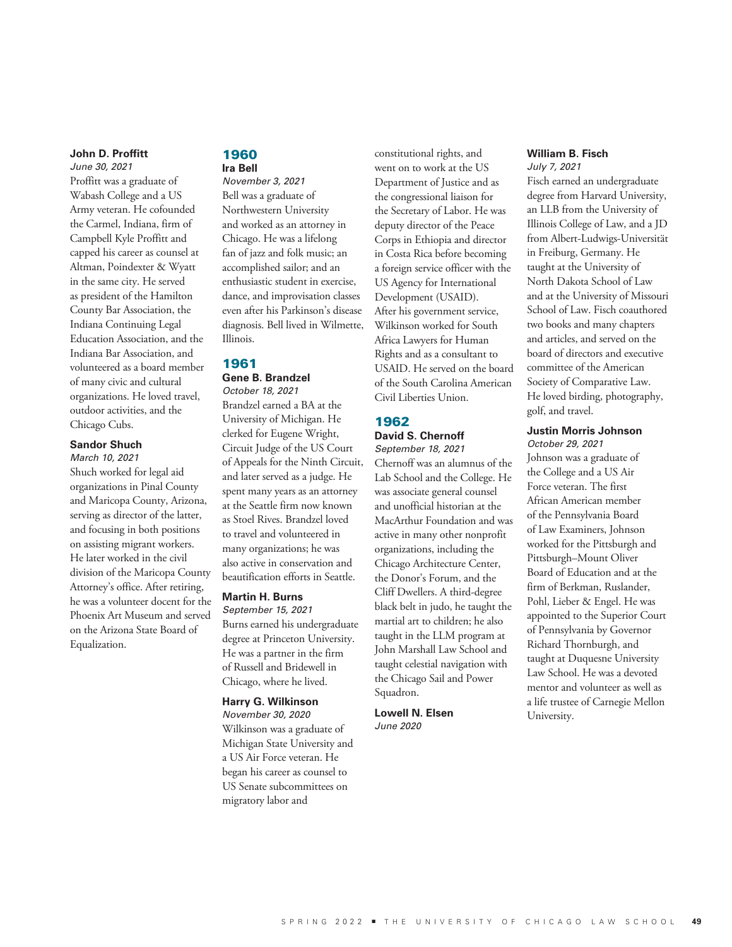#### **John D. Proffitt**

*June 30, 2021* Proffitt was a graduate of Wabash College and a US Army veteran. He cofounded the Carmel, Indiana, firm of Campbell Kyle Proffitt and capped his career as counsel at Altman, Poindexter & Wyatt in the same city. He served as president of the Hamilton County Bar Association, the Indiana Continuing Legal Education Association, and the Indiana Bar Association, and volunteered as a board member of many civic and cultural organizations. He loved travel, outdoor activities, and the Chicago Cubs.

#### **Sandor Shuch**

*March 10, 2021* Shuch worked for legal aid organizations in Pinal County and Maricopa County, Arizona, serving as director of the latter, and focusing in both positions on assisting migrant workers. He later worked in the civil division of the Maricopa County Attorney's office. After retiring, he was a volunteer docent for the Phoenix Art Museum and served on the Arizona State Board of Equalization.

#### 1960 **Ira Bell**

*November 3, 2021* Bell was a graduate of Northwestern University and worked as an attorney in Chicago. He was a lifelong fan of jazz and folk music; an accomplished sailor; and an enthusiastic student in exercise, dance, and improvisation classes even after his Parkinson's disease diagnosis. Bell lived in Wilmette, Illinois.

#### 1961

# **Gene B. Brandzel**

*October 18, 2021* Brandzel earned a BA at the University of Michigan. He clerked for Eugene Wright, Circuit Judge of the US Court of Appeals for the Ninth Circuit, and later served as a judge. He spent many years as an attorney at the Seattle firm now known as Stoel Rives. Brandzel loved to travel and volunteered in many organizations; he was also active in conservation and beautification efforts in Seattle.

### **Martin H. Burns**

*September 15, 2021* Burns earned his undergraduate degree at Princeton University. He was a partner in the firm of Russell and Bridewell in Chicago, where he lived.

#### **Harry G. Wilkinson**

*November 30, 2020* Wilkinson was a graduate of Michigan State University and a US Air Force veteran. He began his career as counsel to US Senate subcommittees on migratory labor and

constitutional rights, and went on to work at the US Department of Justice and as the congressional liaison for the Secretary of Labor. He was deputy director of the Peace Corps in Ethiopia and director in Costa Rica before becoming a foreign service officer with the US Agency for International Development (USAID). After his government service, Wilkinson worked for South Africa Lawyers for Human Rights and as a consultant to USAID. He served on the board of the South Carolina American Civil Liberties Union.

#### 1962 **David S. Chernoff**

### *September 18, 2021*

Chernoff was an alumnus of the Lab School and the College. He was associate general counsel and unofficial historian at the MacArthur Foundation and was active in many other nonprofit organizations, including the Chicago Architecture Center, the Donor's Forum, and the Cliff Dwellers. A third-degree black belt in judo, he taught the martial art to children; he also taught in the LLM program at John Marshall Law School and taught celestial navigation with the Chicago Sail and Power Squadron.

**Lowell N. Elsen** *June 2020*

#### **William B. Fisch** *July 7, 2021*

Fisch earned an undergraduate degree from Harvard University, an LLB from the University of Illinois College of Law, and a JD from Albert-Ludwigs-Universität in Freiburg, Germany. He taught at the University of North Dakota School of Law and at the University of Missouri School of Law. Fisch coauthored two books and many chapters and articles, and served on the board of directors and executive committee of the American Society of Comparative Law. He loved birding, photography, golf, and travel.

#### **Justin Morris Johnson** *October 29, 2021*

Johnson was a graduate of the College and a US Air Force veteran. The first African American member of the Pennsylvania Board of Law Examiners, Johnson worked for the Pittsburgh and Pittsburgh–Mount Oliver Board of Education and at the firm of Berkman, Ruslander, Pohl, Lieber & Engel. He was appointed to the Superior Court of Pennsylvania by Governor Richard Thornburgh, and taught at Duquesne University Law School. He was a devoted mentor and volunteer as well as a life trustee of Carnegie Mellon University.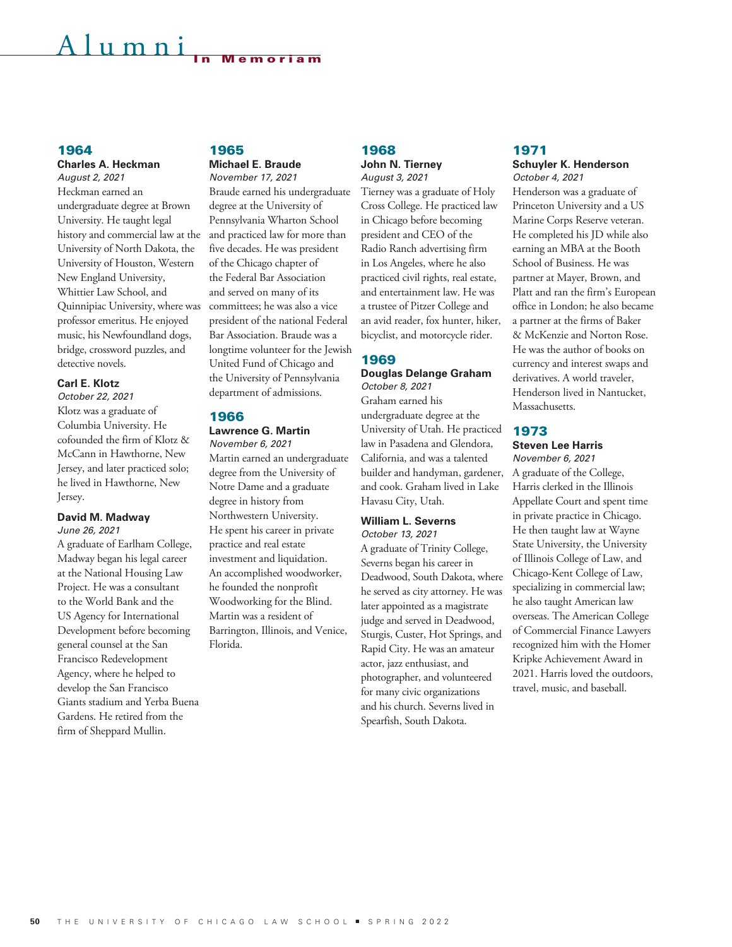# $\ln m$  n i

#### 1964

**Charles A. Heckman** *August 2, 2021*

Heckman earned an undergraduate degree at Brown University. He taught legal history and commercial law at the University of North Dakota, the University of Houston, Western New England University, Whittier Law School, and Quinnipiac University, where was professor emeritus. He enjoyed music, his Newfoundland dogs, bridge, crossword puzzles, and detective novels.

#### **Carl E. Klotz**

*October 22, 2021* Klotz was a graduate of Columbia University. He cofounded the firm of Klotz & McCann in Hawthorne, New Jersey, and later practiced solo; he lived in Hawthorne, New Jersey.

#### **David M. Madway** *June 26, 2021*

A graduate of Earlham College, Madway began his legal career at the National Housing Law Project. He was a consultant to the World Bank and the US Agency for International Development before becoming general counsel at the San Francisco Redevelopment Agency, where he helped to develop the San Francisco Giants stadium and Yerba Buena Gardens. He retired from the firm of Sheppard Mullin.

#### 1965 **Michael E. Braude** *November 17, 2021*

Braude earned his undergraduate degree at the University of Pennsylvania Wharton School and practiced law for more than five decades. He was president of the Chicago chapter of the Federal Bar Association and served on many of its committees; he was also a vice president of the national Federal Bar Association. Braude was a longtime volunteer for the Jewish United Fund of Chicago and the University of Pennsylvania department of admissions.

#### 1966

**Lawrence G. Martin** *November 6, 2021*

Martin earned an undergraduate degree from the University of Notre Dame and a graduate degree in history from Northwestern University. He spent his career in private practice and real estate investment and liquidation. An accomplished woodworker, he founded the nonprofit Woodworking for the Blind. Martin was a resident of Barrington, Illinois, and Venice, Florida.

#### 1968 **John N. Tierney**

*August 3, 2021*

Tierney was a graduate of Holy Cross College. He practiced law in Chicago before becoming president and CEO of the Radio Ranch advertising firm in Los Angeles, where he also practiced civil rights, real estate, and entertainment law. He was a trustee of Pitzer College and an avid reader, fox hunter, hiker, bicyclist, and motorcycle rider.

#### 1969

**Douglas Delange Graham** *October 8, 2021*

Graham earned his undergraduate degree at the University of Utah. He practiced law in Pasadena and Glendora, California, and was a talented builder and handyman, gardener, and cook. Graham lived in Lake Havasu City, Utah.

## **William L. Severns**

*October 13, 2021* A graduate of Trinity College, Severns began his career in Deadwood, South Dakota, where he served as city attorney. He was later appointed as a magistrate judge and served in Deadwood, Sturgis, Custer, Hot Springs, and Rapid City. He was an amateur actor, jazz enthusiast, and photographer, and volunteered for many civic organizations and his church. Severns lived in Spearfish, South Dakota.

# 1971

#### **Schuyler K. Henderson** *October 4, 2021*

Henderson was a graduate of Princeton University and a US Marine Corps Reserve veteran. He completed his JD while also earning an MBA at the Booth School of Business. He was partner at Mayer, Brown, and Platt and ran the firm's European office in London; he also became a partner at the firms of Baker & McKenzie and Norton Rose. He was the author of books on currency and interest swaps and derivatives. A world traveler, Henderson lived in Nantucket, Massachusetts.

# 1973

#### **Steven Lee Harris** *November 6, 2021*

A graduate of the College, Harris clerked in the Illinois Appellate Court and spent time in private practice in Chicago. He then taught law at Wayne State University, the University of Illinois College of Law, and Chicago-Kent College of Law, specializing in commercial law; he also taught American law overseas. The American College of Commercial Finance Lawyers recognized him with the Homer Kripke Achievement Award in 2021. Harris loved the outdoors, travel, music, and baseball.